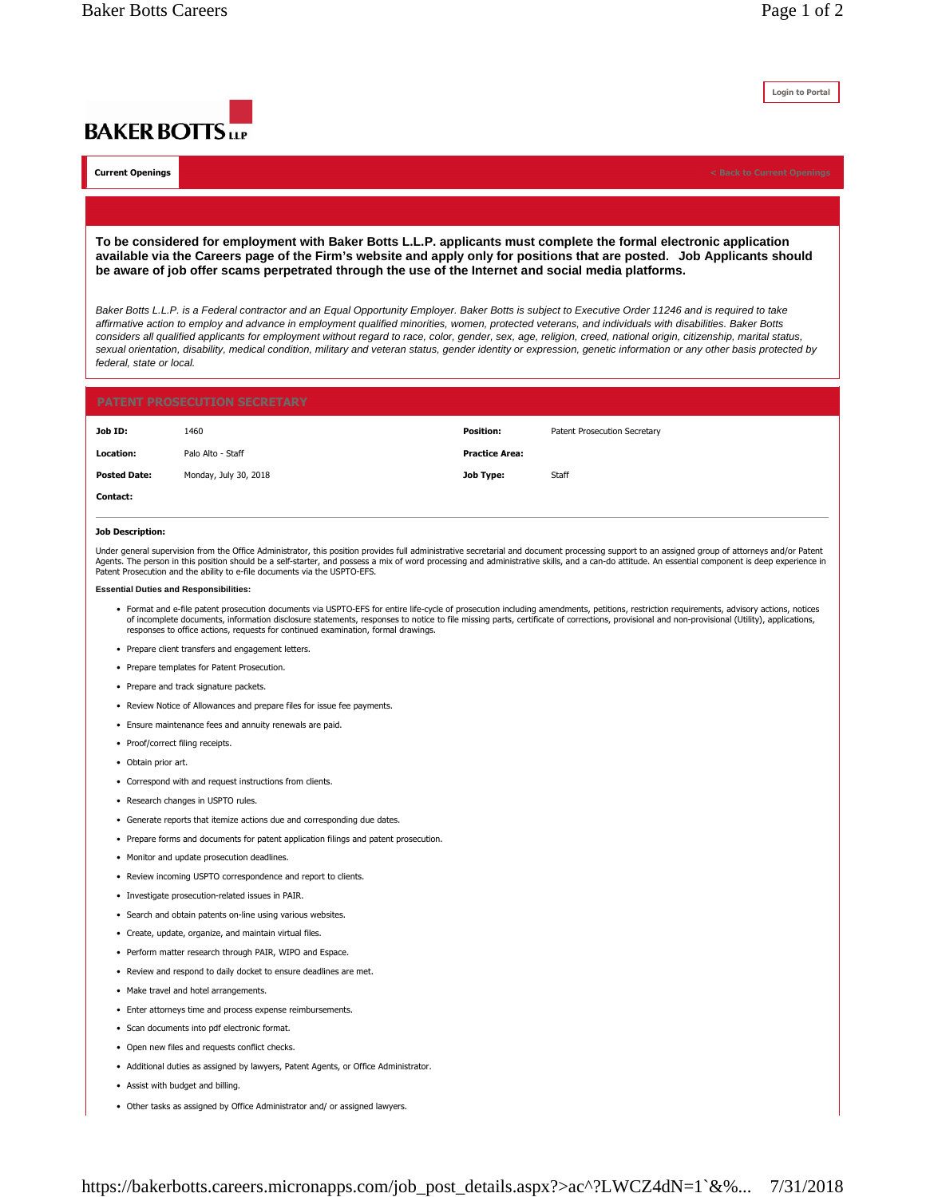# **BAKER BOTTS**

**Current Openings < Back to Current Openings**

**To be considered for employment with Baker Botts L.L.P. applicants must complete the formal electronic application available via the Careers page of the Firm's website and apply only for positions that are posted. Job Applicants should be aware of job offer scams perpetrated through the use of the Internet and social media platforms.** 

Baker Botts L.L.P. is a Federal contractor and an Equal Opportunity Employer. Baker Botts is subject to Executive Order 11246 and is required to take *affirmative action to employ and advance in employment qualified minorities, women, protected veterans, and individuals with disabilities. Baker Botts considers all qualified applicants for employment without regard to race, color, gender, sex, age, religion, creed, national origin, citizenship, marital status, sexual orientation, disability, medical condition, military and veteran status, gender identity or expression, genetic information or any other basis protected by federal, state or local.*

| <b>PATENT PROSECUTION SECRETARY</b> |                       |                       |                                     |
|-------------------------------------|-----------------------|-----------------------|-------------------------------------|
| Job ID:                             | 1460                  | Position:             | <b>Patent Prosecution Secretary</b> |
| Location:                           | Palo Alto - Staff     | <b>Practice Area:</b> |                                     |
| <b>Posted Date:</b>                 | Monday, July 30, 2018 | Job Type:             | Staff                               |
| <b>Contact:</b>                     |                       |                       |                                     |

#### **Job Description:**

Under general supervision from the Office Administrator, this position provides full administrative secretarial and document processing support to an assigned group of attorneys and/or Patent Agents. The person in this position should be a self-starter, and possess a mix of word processing and administrative skills, and a can-do attitude. An essential component is deep experience in<br>Patent Prosecution and the a

#### **Essential Duties and Responsibilities:**

- Format and e-file patent prosecution documents via USPTO-EFS for entire life-cycle of prosecution including amendments, petitions, restriction requirements, advisory actions, notices وformat and non-provisional (Utility), responses to office actions, requests for continued examination, formal drawings.
- Prepare client transfers and engagement letters.
- Prepare templates for Patent Prosecution.
- Prepare and track signature packets.
- Review Notice of Allowances and prepare files for issue fee payments.
- Ensure maintenance fees and annuity renewals are paid.
- Proof/correct filing receipts.
- Obtain prior art.
- Correspond with and request instructions from clients.
- Research changes in USPTO rules.
- Generate reports that itemize actions due and corresponding due dates.
- Prepare forms and documents for patent application filings and patent prosecution.
- Monitor and update prosecution deadlines.
- Review incoming USPTO correspondence and report to clients.
- Investigate prosecution-related issues in PAIR.
- Search and obtain patents on-line using various websites.
- Create, update, organize, and maintain virtual files.
- Perform matter research through PAIR, WIPO and Espace.
- Review and respond to daily docket to ensure deadlines are met.
- Make travel and hotel arrangements.
- Enter attorneys time and process expense reimbursements.
- Scan documents into pdf electronic format.
- Open new files and requests conflict checks.
- Additional duties as assigned by lawyers, Patent Agents, or Office Administrator.
- Assist with budget and billing.
- Other tasks as assigned by Office Administrator and/ or assigned lawyers.

**Login to Portal**